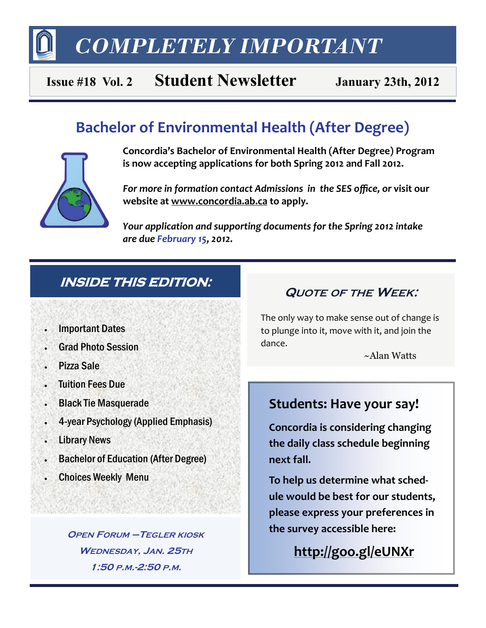*COMPLETELY IMPORTANT* 

## **Issue #18 Vol. 2 Student Newsletter January 23th, 2012**

## **Bachelor of Environmental Health (After Degree)**



**Concordia's Bachelor of Environmental Health (After Degree) Program is now accepting applications for both Spring 2012 and Fall 2012.** 

*For more in formation contact Admissions in the SES office, or* **visit our website at [www.concordia.ab.ca](http://www.concordia.ab.ca) to apply.** 

*Your application and supporting documents for the Spring 2012 intake are due February 15, 2012.* 

## **INSIDE THIS EDITION:**

- Important Dates
- Grad Photo Session
- Pizza Sale
- Tuition Fees Due
- Black Tie Masquerade
- 4-year Psychology (Applied Emphasis)
- Library News
- Bachelor of Education (After Degree)
- Choices Weekly Menu

**OPEN FORUM –TEGLER KIOSK WEDNESDAY, JAN. 25TH 1:50 P.M.-2:50 P.M.**

## **QUOTE OF THE WEEK:**

The only way to make sense out of change is to plunge into it, move with it, and join the dance.

~Alan Watts

## **Students: Have your say!**

**Concordia is considering changing the daily class schedule beginning next fall.** 

**To help us determine what sched‐ ule would be best for our students, please express your preferences in the survey accessible here:**

**<http://goo.gl/eUNXr>**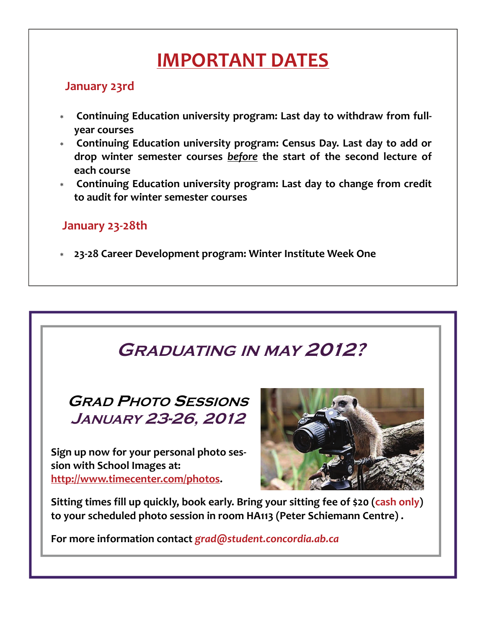# **IMPORTANT DATES**

### **January 23rd**

- **Continuing Education university program: Last day to withdraw from full‐ year courses**
- **Continuing Education university program: Census Day. Last day to add or drop winter semester courses** *before* **the start of the second lecture of each course**
- **Continuing Education university program: Last day to change from credit to audit for winter semester courses**

### **January 23‐28th**

**23‐28 Career Development program: Winter Institute Week One**

# **GRADUATING IN MAY 2012?**

**GRAD PHOTO SESSIONS JANUARY 23-26, 2012** 

**Sign up now for your personal photo ses‐ sion with School Images at: [http://www.timecenter.com/photos.](http://www.timecenter.com/photos)** 



**Sitting times fill up quickly, book early. Bring your sitting fee of \$20 (cash only) to your scheduled photo session in room HA113 (Peter Schiemann Centre) .** 

**For more information contact** *grad@student.concordia.ab.ca*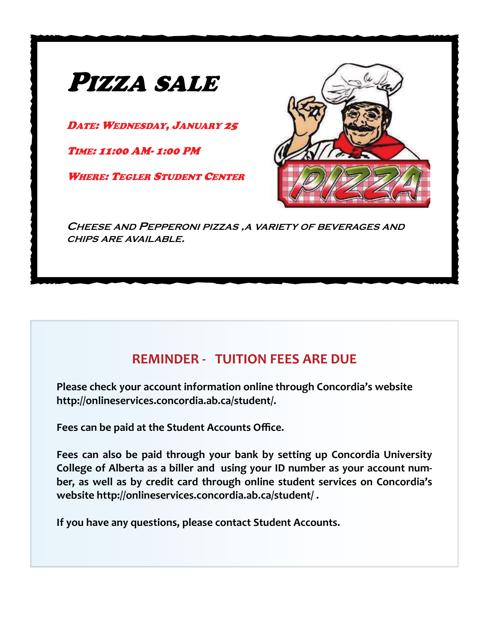

## **REMINDER ‐ TUITION FEES ARE DUE**

**Please check your account information online through Concordia's website [http://onlineservices.concordia.ab.ca/student/.](http://onlineservices.concordia.ab.ca/student/)**

**Fees can be paid at the Student Accounts Office.**

**Fees can also be paid through your bank by setting up Concordia University College of Alberta as a biller and using your ID number as your account num‐ ber, as well as by credit card through online student services on Concordia's website <http://onlineservices.concordia.ab.ca/student/> .**

**If you have any questions, please contact Student Accounts.**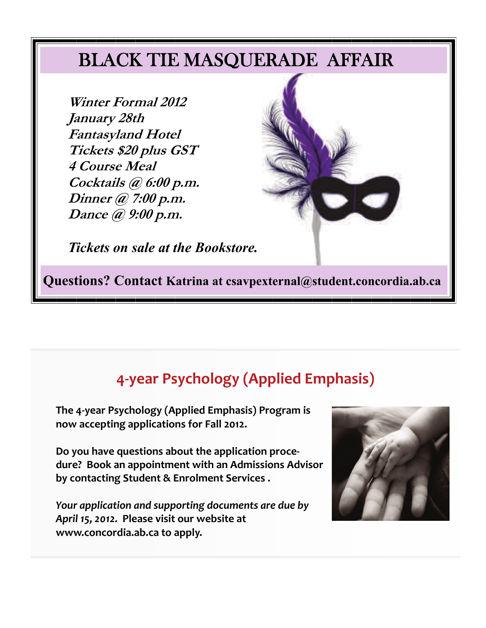## BLACK TIE MASQUERADE AFFAIR

**Winter Formal 2012 January 28th Fantasyland Hotel Tickets \$20 plus GST 4 Course Meal Cocktails @ 6:00 p.m. Dinner @ 7:00 p.m. Dance @ 9:00 p.m.** 



*Tickets on sale at the Bookstore.*

**Questions? Contact Katrina at csavpexternal@student.concordia.ab.ca** 

## **4‐year Psychology (Applied Emphasis)**

**The 4‐year Psychology (Applied Emphasis) Program is now accepting applications for Fall 2012.** 

**Do you have questions about the application proce‐ dure? Book an appointment with an Admissions Advisor by contacting Student & Enrolment Services .**

*Your application and supporting documents are due by April 15, 2012.* **Please visit our website at [www.concordia.ab.ca](http://www.concordia.ab.ca) to apply.** 

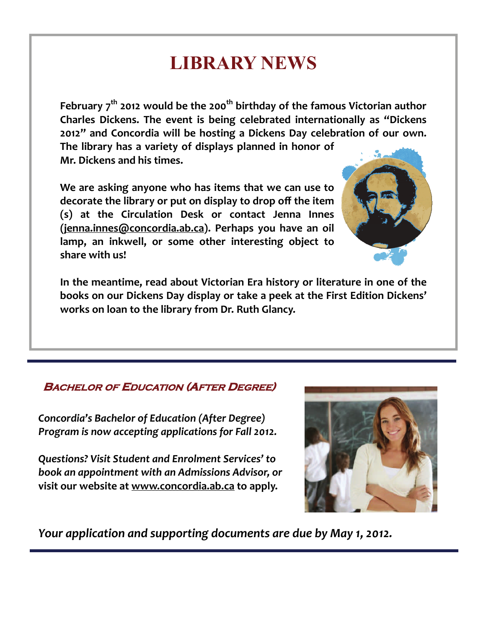# **LIBRARY NEWS**

**February 7th 2012 would be the 200th birthday of the famous Victorian author Charles Dickens. The event is being celebrated internationally as "Dickens 2012" and Concordia will be hosting a Dickens Day celebration of our own. The library has a variety of displays planned in honor of Mr. Dickens and his times.** 

**We are asking anyone who has items that we can use to decorate the library or put on display to drop off the item (s) at the Circulation Desk or contact Jenna Innes ([jenna.innes@concordia.ab.ca](mailto:jenna.innes@concordia.ab.ca)). Perhaps you have an oil lamp, an inkwell, or some other interesting object to share with us!** 



**In the meantime, read about Victorian Era history or literature in one of the books on our Dickens Day display or take a peek at the First Edition Dickens' works on loan to the library from Dr. Ruth Glancy.** 

### **BACHELOR OF EDUCATION (AFTER DEGREE)**

*Concordia's Bachelor of Education (After Degree) Program is now accepting applications for Fall 2012.* 

*Questions? Visit Student and Enrolment Services' to book an appointment with an Admissions Advisor, or*  **visit our website at [www.concordia.ab.ca](http://www.concordia.ab.ca) to apply.**



*Your application and supporting documents are due by May 1, 2012.*